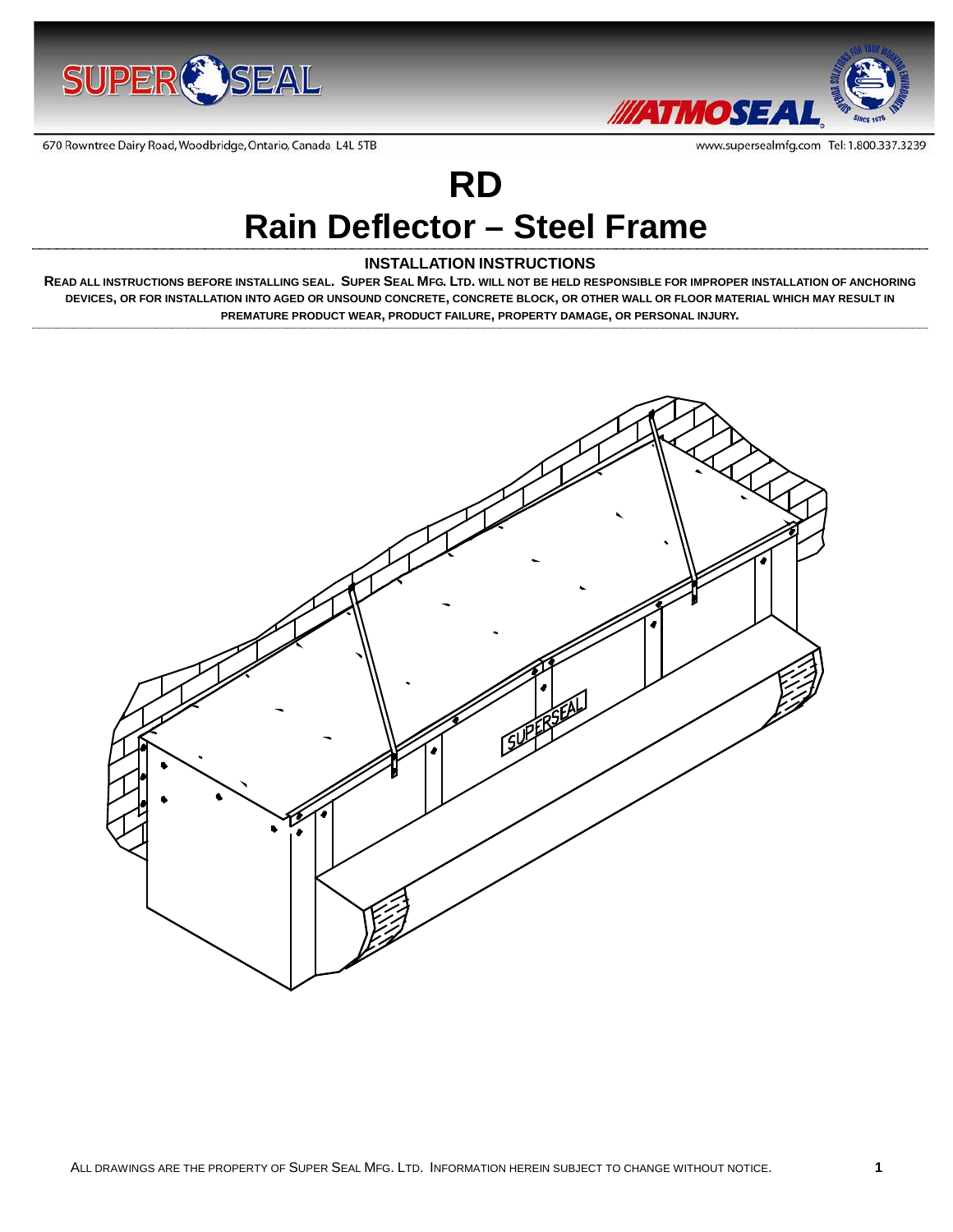



www.supersealmfg.com Tel: 1.800.337.3239

670 Rowntree Dairy Road, Woodbridge, Ontario, Canada L4L 5TB

# **RD**

## **Rain Deflector – Steel Frame**

#### **INSTALLATION INSTRUCTIONS**

**READ ALL INSTRUCTIONS BEFORE INSTALLING SEAL. SUPER SEAL MFG. LTD. WILL NOT BE HELD RESPONSIBLE FOR IMPROPER INSTALLATION OF ANCHORING DEVICES, OR FOR INSTALLATION INTO AGED OR UNSOUND CONCRETE, CONCRETE BLOCK, OR OTHER WALL OR FLOOR MATERIAL WHICH MAY RESULT IN PREMATURE PRODUCT WEAR, PRODUCT FAILURE, PROPERTY DAMAGE, OR PERSONAL INJURY.**

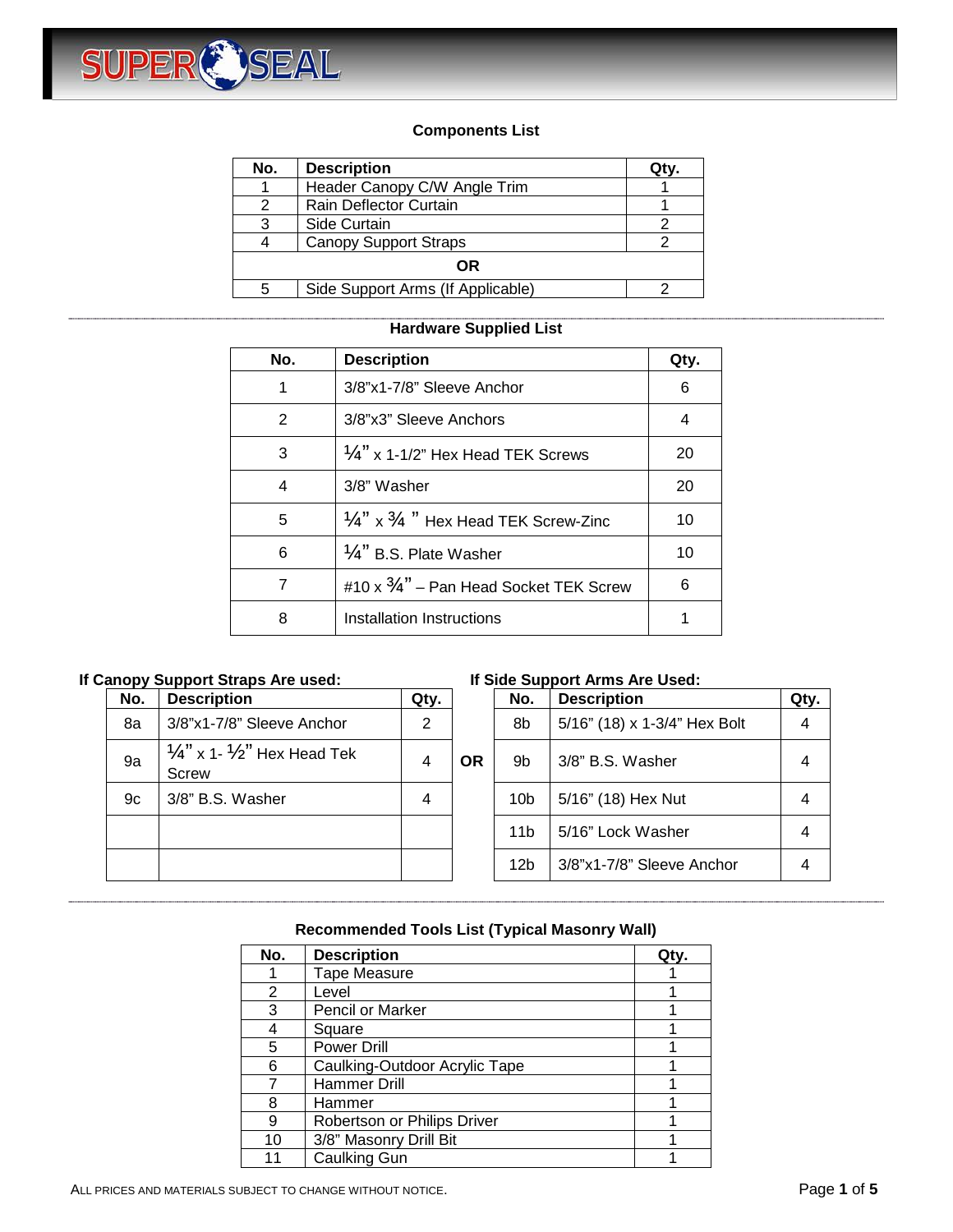

#### **Components List**

| No.       | <b>Description</b>                |  |  |  |
|-----------|-----------------------------------|--|--|--|
|           | Header Canopy C/W Angle Trim      |  |  |  |
| 2         | Rain Deflector Curtain            |  |  |  |
| 3         | Side Curtain                      |  |  |  |
| 4         | <b>Canopy Support Straps</b>      |  |  |  |
| <b>OR</b> |                                   |  |  |  |
| 5         | Side Support Arms (If Applicable) |  |  |  |

#### **Hardware Supplied List**

| No. | <b>Description</b>                                        | Qty. |
|-----|-----------------------------------------------------------|------|
| 1   | 3/8"x1-7/8" Sleeve Anchor                                 | 6    |
| 2   | 3/8"x3" Sleeve Anchors                                    | 4    |
| 3   | $\frac{1}{4}$ " x 1-1/2" Hex Head TEK Screws              | 20   |
| 4   | 3/8" Washer                                               | 20   |
| 5   | $\frac{1}{4}$ " x $\frac{3}{4}$ " Hex Head TEK Screw-Zinc | 10   |
| 6   | $\frac{1}{4}$ " B.S. Plate Washer                         | 10   |
| 7   | #10 x $\frac{3}{4}$ " – Pan Head Socket TEK Screw         | 6    |
| 8   | Installation Instructions                                 |      |

#### **If Canopy Support Straps Are used: If Side Support Arms Are Used:**

| No. | <b>Description</b>                                         | Qty. |           | No.             | <b>Description</b>           | Qty. |
|-----|------------------------------------------------------------|------|-----------|-----------------|------------------------------|------|
| 8a  | 3/8"x1-7/8" Sleeve Anchor                                  | 2    |           | 8b              | 5/16" (18) x 1-3/4" Hex Bolt | 4    |
| 9a  | $\frac{1}{4}$ " x 1- $\frac{1}{2}$ " Hex Head Tek<br>Screw | 4    | <b>OR</b> | 9b              | 3/8" B.S. Washer             |      |
| 9c  | 3/8" B.S. Washer                                           | 4    |           | 10 <sub>b</sub> | 5/16" (18) Hex Nut           |      |
|     |                                                            |      |           | 11 <sub>b</sub> | 5/16" Lock Washer            | 4    |
|     |                                                            |      |           | 12b             | 3/8"x1-7/8" Sleeve Anchor    | 4    |

| ty.            |           | No.             | <b>Description</b>           | Qtv. |
|----------------|-----------|-----------------|------------------------------|------|
| $\overline{2}$ |           | 8b              | 5/16" (18) x 1-3/4" Hex Bolt |      |
| 4              | <b>OR</b> | 9b              | 3/8" B.S. Washer             |      |
| 4              |           | 10 <sub>b</sub> | 5/16" (18) Hex Nut           |      |
|                |           | 11b             | 5/16" Lock Washer            |      |
|                |           | 12 <sub>b</sub> | 3/8"x1-7/8" Sleeve Anchor    |      |

#### **Recommended Tools List (Typical Masonry Wall)**

| No. | <b>Description</b>            | Qty. |
|-----|-------------------------------|------|
|     | <b>Tape Measure</b>           |      |
| 2   | Level                         |      |
| 3   | <b>Pencil or Marker</b>       |      |
|     | Square                        |      |
| 5   | <b>Power Drill</b>            |      |
| 6   | Caulking-Outdoor Acrylic Tape |      |
|     | Hammer Drill                  |      |
| 8   | Hammer                        |      |
| 9   | Robertson or Philips Driver   |      |
| 10  | 3/8" Masonry Drill Bit        |      |
| 11  | <b>Caulking Gun</b>           |      |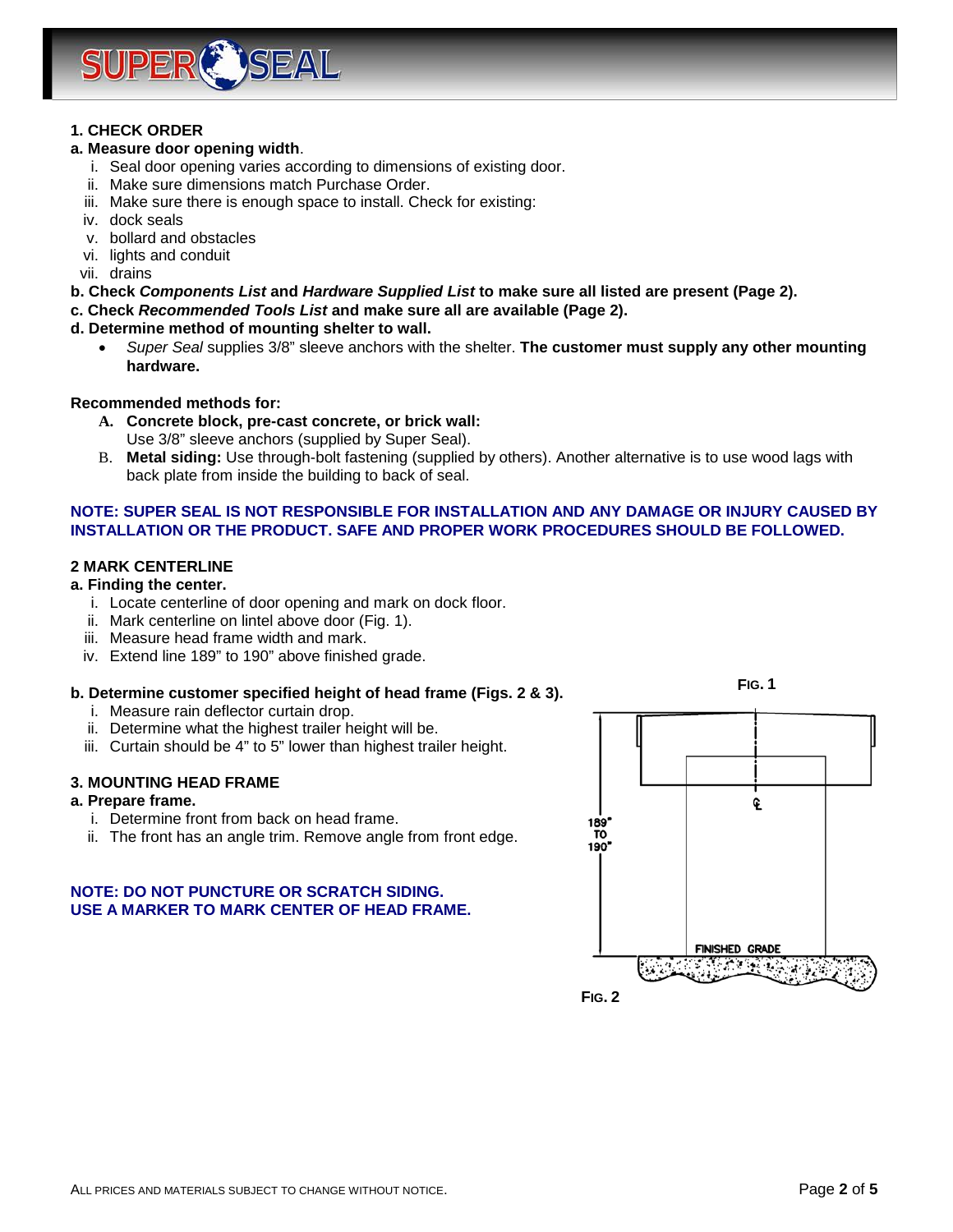

#### **1. CHECK ORDER**

#### **a. Measure door opening width**.

- i. Seal door opening varies according to dimensions of existing door.
- ii. Make sure dimensions match Purchase Order.
- iii. Make sure there is enough space to install. Check for existing:
- iv. dock seals
- v. bollard and obstacles
- vi. lights and conduit
- vii. drains
- **b. Check** *Components List* **and** *Hardware Supplied List* **to make sure all listed are present (Page 2).**

#### **c. Check** *Recommended Tools List* **and make sure all are available (Page 2).**

#### **d. Determine method of mounting shelter to wall.**

• *Super Seal* supplies 3/8" sleeve anchors with the shelter. **The customer must supply any other mounting hardware.**

#### **Recommended methods for:**

- **A. Concrete block, pre-cast concrete, or brick wall:**  Use 3/8" sleeve anchors (supplied by Super Seal).
- B. **Metal siding:** Use through-bolt fastening (supplied by others). Another alternative is to use wood lags with back plate from inside the building to back of seal.

#### **NOTE: SUPER SEAL IS NOT RESPONSIBLE FOR INSTALLATION AND ANY DAMAGE OR INJURY CAUSED BY INSTALLATION OR THE PRODUCT. SAFE AND PROPER WORK PROCEDURES SHOULD BE FOLLOWED.**

#### **2 MARK CENTERLINE**

#### **a. Finding the center.**

- i. Locate centerline of door opening and mark on dock floor.
- ii. Mark centerline on lintel above door (Fig. 1).
- iii. Measure head frame width and mark.
- iv. Extend line 189" to 190" above finished grade.

#### **b. Determine customer specified height of head frame (Figs. 2 & 3).**

- i. Measure rain deflector curtain drop.
- ii. Determine what the highest trailer height will be.
- iii. Curtain should be 4" to 5" lower than highest trailer height.

#### **3. MOUNTING HEAD FRAME**

#### **a. Prepare frame.**

- i. Determine front from back on head frame.
- ii. The front has an angle trim. Remove angle from front edge.

#### **NOTE: DO NOT PUNCTURE OR SCRATCH SIDING. USE A MARKER TO MARK CENTER OF HEAD FRAME.**

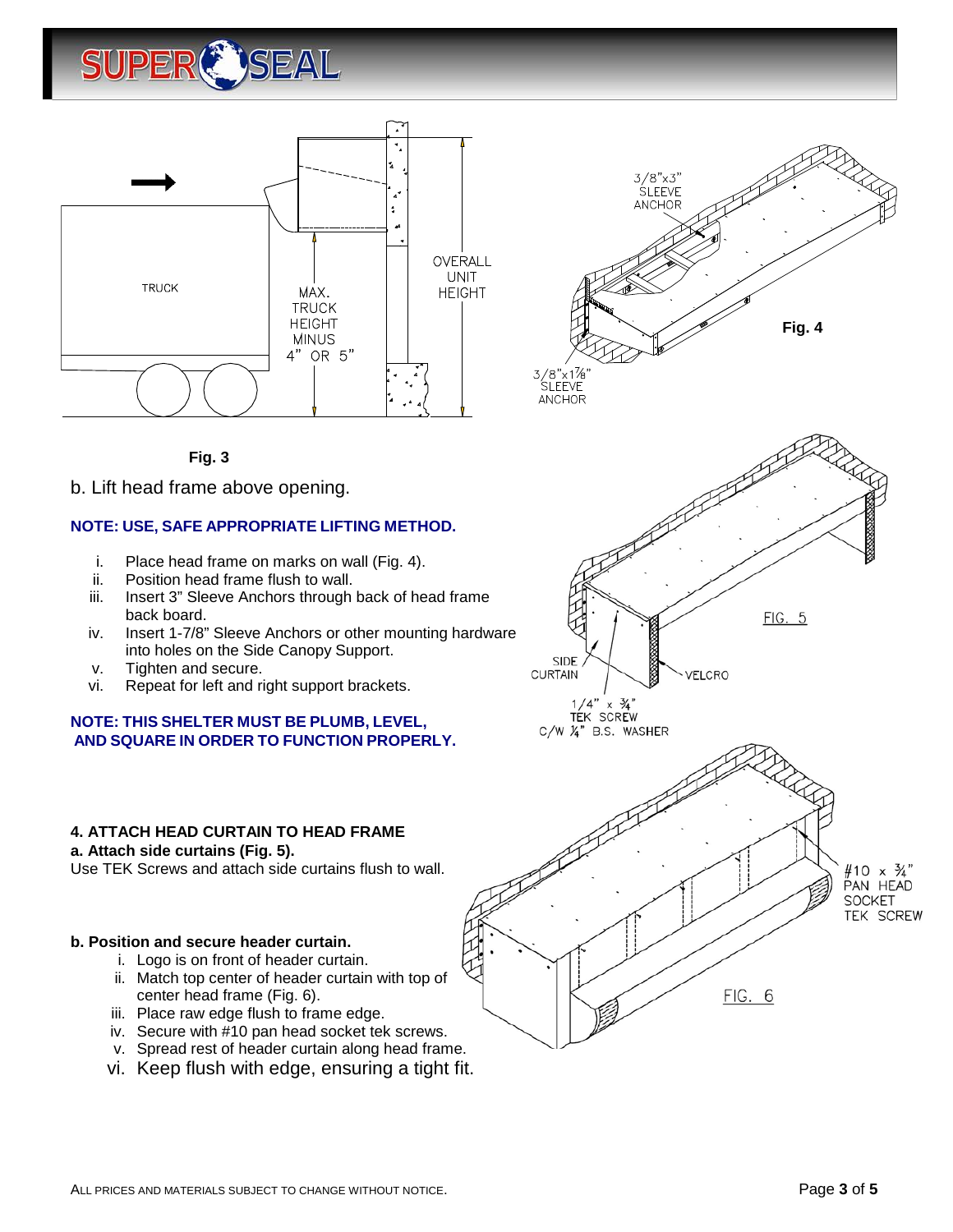





**Fig. 3**

b. Lift head frame above opening.

#### **NOTE: USE, SAFE APPROPRIATE LIFTING METHOD.**

- i. Place head frame on marks on wall (Fig. 4).
- ii. Position head frame flush to wall.
- iii. Insert 3" Sleeve Anchors through back of head frame back board.
- iv. Insert 1-7/8" Sleeve Anchors or other mounting hardware into holes on the Side Canopy Support.
- v. Tighten and secure.
- vi. Repeat for left and right support brackets.

#### **NOTE: THIS SHELTER MUST BE PLUMB, LEVEL, AND SQUARE IN ORDER TO FUNCTION PROPERLY.**

### **4. ATTACH HEAD CURTAIN TO HEAD FRAME**

**a. Attach side curtains (Fig. 5).**

Use TEK Screws and attach side curtains flush to wall.

#### **b. Position and secure header curtain.**

- i. Logo is on front of header curtain.
- ii. Match top center of header curtain with top of center head frame (Fig. 6).
- iii. Place raw edge flush to frame edge.
- iv. Secure with #10 pan head socket tek screws.
- v. Spread rest of header curtain along head frame.
- vi. Keep flush with edge, ensuring a tight fit.